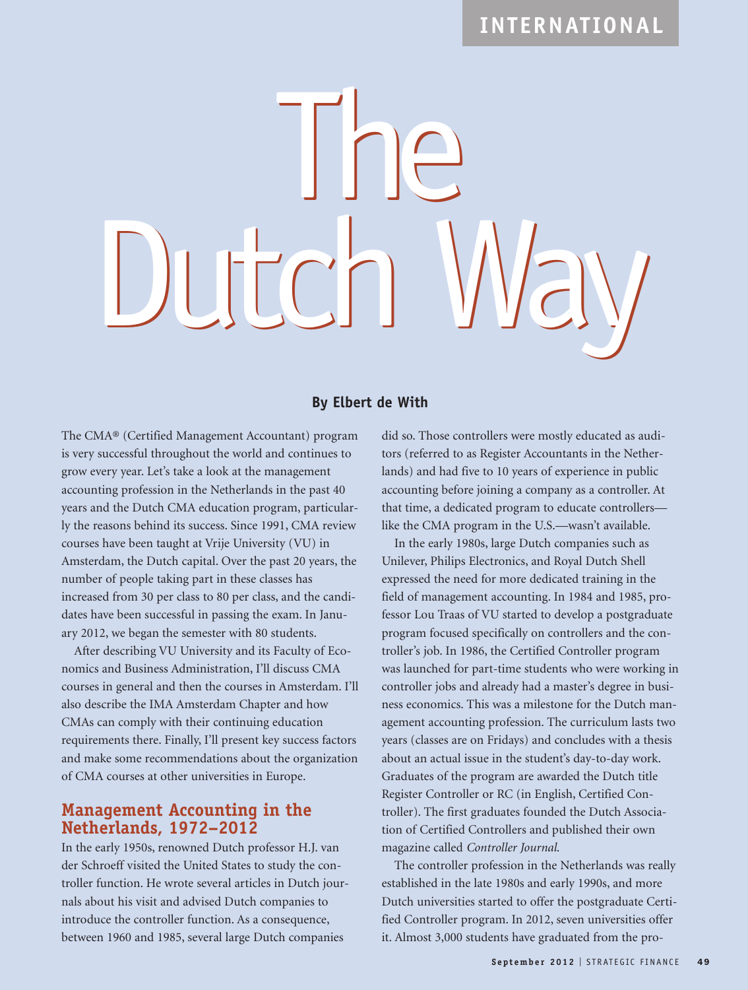# **INTERNATIONAL**



#### **By Elbert de With**

The CMA® (Certified Management Accountant) program is very successful throughout the world and continues to grow every year. Let's take a look at the management accounting profession in the Netherlands in the past 40 years and the Dutch CMA education program, particularly the reasons behind its success. Since 1991, CMA review courses have been taught at Vrije University (VU) in Amsterdam, the Dutch capital. Over the past 20 years, the number of people taking part in these classes has increased from 30 per class to 80 per class, and the candidates have been successful in passing the exam. In January 2012, we began the semester with 80 students.

After describing VU University and its Faculty of Economics and Business Administration, I'll discuss CMA courses in general and then the courses in Amsterdam. I'll also describe the IMA Amsterdam Chapter and how CMAs can comply with their continuing education requirements there. Finally, I'll present key success factors and make some recommendations about the organization of CMA courses at other universities in Europe.

#### **Management Accounting in the Netherlands, 1972–2012**

In the early 1950s, renowned Dutch professor H.J. van der Schroeff visited the United States to study the controller function. He wrote several articles in Dutch journals about his visit and advised Dutch companies to introduce the controller function. As a consequence, between 1960 and 1985, several large Dutch companies

did so. Those controllers were mostly educated as auditors (referred to as Register Accountants in the Netherlands) and had five to 10 years of experience in public accounting before joining a company as a controller. At that time, a dedicated program to educate controllers like the CMA program in the U.S.—wasn't available.

In the early 1980s, large Dutch companies such as Unilever, Philips Electronics, and Royal Dutch Shell expressed the need for more dedicated training in the field of management accounting. In 1984 and 1985, professor Lou Traas of VU started to develop a postgraduate program focused specifically on controllers and the controller's job. In 1986, the Certified Controller program was launched for part-time students who were working in controller jobs and already had a master's degree in business economics. This was a milestone for the Dutch management accounting profession. The curriculum lasts two years (classes are on Fridays) and concludes with a thesis about an actual issue in the student's day-to-day work. Graduates of the program are awarded the Dutch title Register Controller or RC (in English, Certified Controller). The first graduates founded the Dutch Association of Certified Controllers and published their own magazine called *Controller Journal*.

The controller profession in the Netherlands was really established in the late 1980s and early 1990s, and more Dutch universities started to offer the postgraduate Certified Controller program. In 2012, seven universities offer it. Almost 3,000 students have graduated from the pro-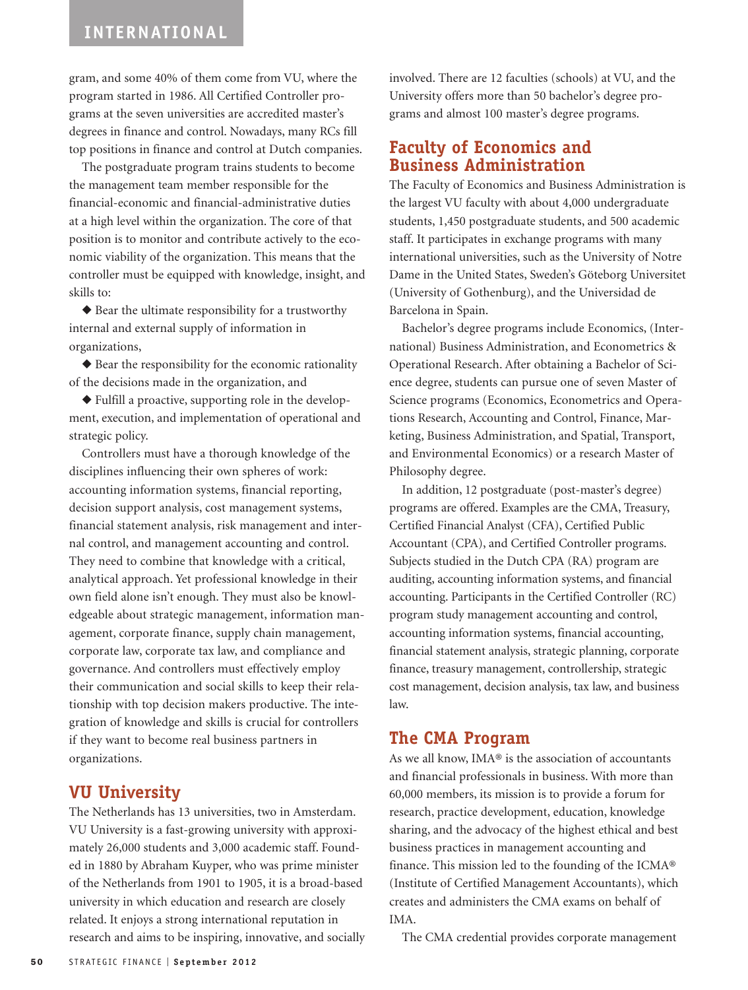gram, and some 40% of them come from VU, where the program started in 1986. All Certified Controller programs at the seven universities are accredited master's degrees in finance and control. Nowadays, many RCs fill top positions in finance and control at Dutch companies.

The postgraduate program trains students to become the management team member responsible for the financial-economic and financial-administrative duties at a high level within the organization. The core of that position is to monitor and contribute actively to the economic viability of the organization. This means that the controller must be equipped with knowledge, insight, and skills to:

◆ Bear the ultimate responsibility for a trustworthy internal and external supply of information in organizations,

◆ Bear the responsibility for the economic rationality of the decisions made in the organization, and

◆ Fulfill a proactive, supporting role in the development, execution, and implementation of operational and strategic policy.

Controllers must have a thorough knowledge of the disciplines influencing their own spheres of work: accounting information systems, financial reporting, decision support analysis, cost management systems, financial statement analysis, risk management and internal control, and management accounting and control. They need to combine that knowledge with a critical, analytical approach. Yet professional knowledge in their own field alone isn't enough. They must also be knowledgeable about strategic management, information management, corporate finance, supply chain management, corporate law, corporate tax law, and compliance and governance. And controllers must effectively employ their communication and social skills to keep their relationship with top decision makers productive. The integration of knowledge and skills is crucial for controllers if they want to become real business partners in organizations.

#### **VU University**

The Netherlands has 13 universities, two in Amsterdam. VU University is a fast-growing university with approximately 26,000 students and 3,000 academic staff. Founded in 1880 by Abraham Kuyper, who was prime minister of the Netherlands from 1901 to 1905, it is a broad-based university in which education and research are closely related. It enjoys a strong international reputation in research and aims to be inspiring, innovative, and socially involved. There are 12 faculties (schools) at VU, and the University offers more than 50 bachelor's degree programs and almost 100 master's degree programs.

### **Faculty of Economics and Business Administration**

The Faculty of Economics and Business Administration is the largest VU faculty with about 4,000 undergraduate students, 1,450 postgraduate students, and 500 academic staff. It participates in exchange programs with many international universities, such as the University of Notre Dame in the United States, Sweden's Göteborg Universitet (University of Gothenburg), and the Universidad de Barcelona in Spain.

Bachelor's degree programs include Economics, (International) Business Administration, and Econometrics & Operational Research. After obtaining a Bachelor of Science degree, students can pursue one of seven Master of Science programs (Economics, Econometrics and Operations Research, Accounting and Control, Finance, Marketing, Business Administration, and Spatial, Transport, and Environmental Economics) or a research Master of Philosophy degree.

In addition, 12 postgraduate (post-master's degree) programs are offered. Examples are the CMA, Treasury, Certified Financial Analyst (CFA), Certified Public Accountant (CPA), and Certified Controller programs. Subjects studied in the Dutch CPA (RA) program are auditing, accounting information systems, and financial accounting. Participants in the Certified Controller (RC) program study management accounting and control, accounting information systems, financial accounting, financial statement analysis, strategic planning, corporate finance, treasury management, controllership, strategic cost management, decision analysis, tax law, and business law.

#### **The CMA Program**

As we all know, IMA® is the association of accountants and financial professionals in business. With more than 60,000 members, its mission is to provide a forum for research, practice development, education, knowledge sharing, and the advocacy of the highest ethical and best business practices in management accounting and finance. This mission led to the founding of the ICMA® (Institute of Certified Management Accountants), which creates and administers the CMA exams on behalf of IMA.

The CMA credential provides corporate management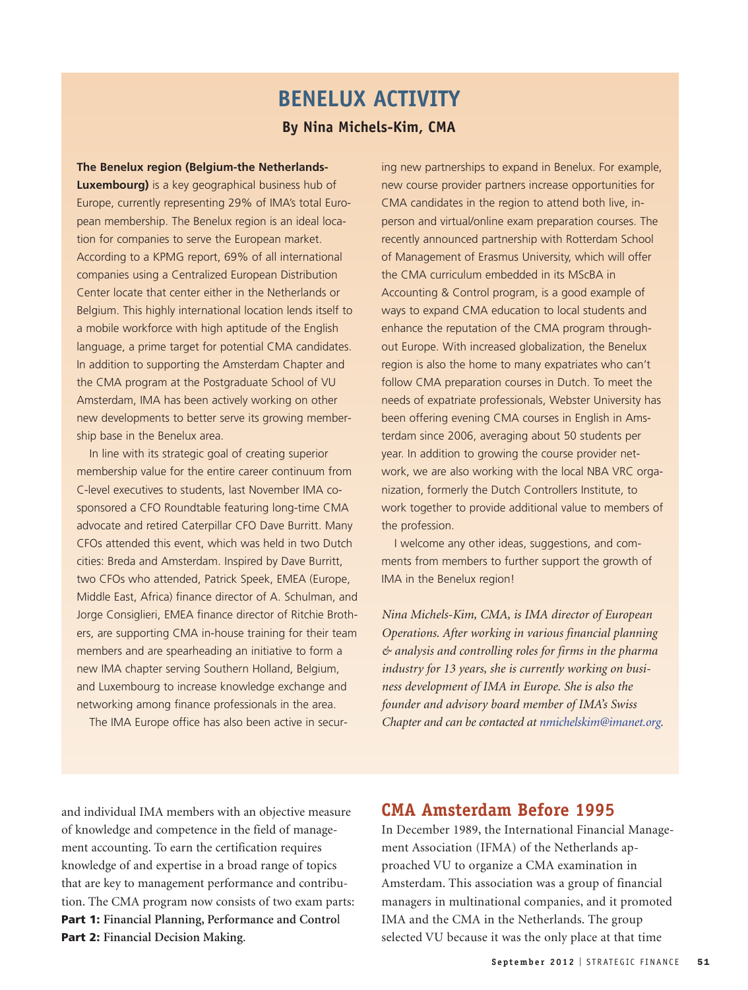# **BENELUX ACTIVITY By Nina Michels-Kim, CMA**

**The Benelux region (Belgium-the Netherlands-Luxembourg)** is a key geographical business hub of Europe, currently representing 29% of IMA's total European membership. The Benelux region is an ideal location for companies to serve the European market. According to a KPMG report, 69% of all international companies using a Centralized European Distribution Center locate that center either in the Netherlands or Belgium. This highly international location lends itself to a mobile workforce with high aptitude of the English language, a prime target for potential CMA candidates. In addition to supporting the Amsterdam Chapter and the CMA program at the Postgraduate School of VU Amsterdam, IMA has been actively working on other new developments to better serve its growing membership base in the Benelux area.

In line with its strategic goal of creating superior membership value for the entire career continuum from C-level executives to students, last November IMA cosponsored a CFO Roundtable featuring long-time CMA advocate and retired Caterpillar CFO Dave Burritt. Many CFOs attended this event, which was held in two Dutch cities: Breda and Amsterdam. Inspired by Dave Burritt, two CFOs who attended, Patrick Speek, EMEA (Europe, Middle East, Africa) finance director of A. Schulman, and Jorge Consiglieri, EMEA finance director of Ritchie Brothers, are supporting CMA in-house training for their team members and are spearheading an initiative to form a new IMA chapter serving Southern Holland, Belgium, and Luxembourg to increase knowledge exchange and networking among finance professionals in the area.

The IMA Europe office has also been active in secur-

ing new partnerships to expand in Benelux. For example, new course provider partners increase opportunities for CMA candidates in the region to attend both live, inperson and virtual/online exam preparation courses. The recently announced partnership with Rotterdam School of Management of Erasmus University, which will offer the CMA curriculum embedded in its MScBA in Accounting & Control program, is a good example of ways to expand CMA education to local students and enhance the reputation of the CMA program throughout Europe. With increased globalization, the Benelux region is also the home to many expatriates who can't follow CMA preparation courses in Dutch. To meet the needs of expatriate professionals, Webster University has been offering evening CMA courses in English in Amsterdam since 2006, averaging about 50 students per year. In addition to growing the course provider network, we are also working with the local NBA VRC organization, formerly the Dutch Controllers Institute, to work together to provide additional value to members of the profession.

I welcome any other ideas, suggestions, and comments from members to further support the growth of IMA in the Benelux region!

*Nina Michels-Kim, CMA, is IMA director of European Operations. After working in various financial planning & analysis and controlling roles for firms in the pharma industry for 13 years, she is currently working on business development of IMA in Europe. She is also the founder and advisory board member of IMA's Swiss Chapter and can be contacted at nmichelskim@imanet.org.*

and individual IMA members with an objective measure of knowledge and competence in the field of management accounting. To earn the certification requires knowledge of and expertise in a broad range of topics that are key to management performance and contribution. The CMA program now consists of two exam parts: **Part 1: Financial Planning, Performance and Contro**l **Part 2: Financial Decision Making**.

### **CMA Amsterdam Before 1995**

In December 1989, the International Financial Management Association (IFMA) of the Netherlands approached VU to organize a CMA examination in Amsterdam. This association was a group of financial managers in multinational companies, and it promoted IMA and the CMA in the Netherlands. The group selected VU because it was the only place at that time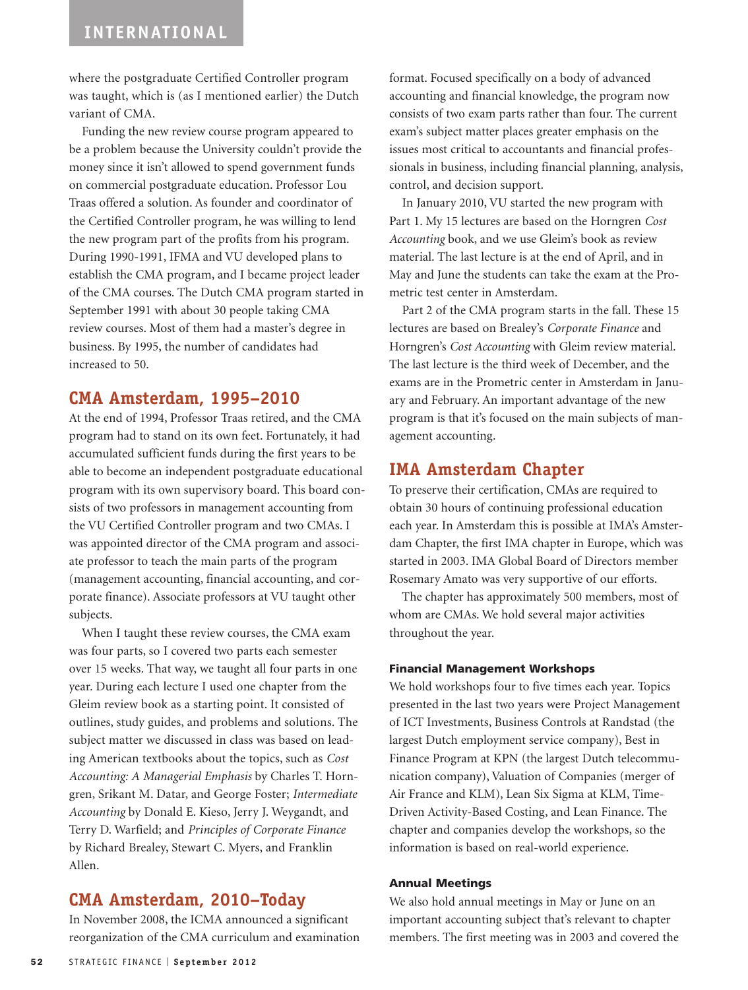where the postgraduate Certified Controller program was taught, which is (as I mentioned earlier) the Dutch variant of CMA.

Funding the new review course program appeared to be a problem because the University couldn't provide the money since it isn't allowed to spend government funds on commercial postgraduate education. Professor Lou Traas offered a solution. As founder and coordinator of the Certified Controller program, he was willing to lend the new program part of the profits from his program. During 1990-1991, IFMA and VU developed plans to establish the CMA program, and I became project leader of the CMA courses. The Dutch CMA program started in September 1991 with about 30 people taking CMA review courses. Most of them had a master's degree in business. By 1995, the number of candidates had increased to 50.

## **CMA Amsterdam, 1995–2010**

At the end of 1994, Professor Traas retired, and the CMA program had to stand on its own feet. Fortunately, it had accumulated sufficient funds during the first years to be able to become an independent postgraduate educational program with its own supervisory board. This board consists of two professors in management accounting from the VU Certified Controller program and two CMAs. I was appointed director of the CMA program and associate professor to teach the main parts of the program (management accounting, financial accounting, and corporate finance). Associate professors at VU taught other subjects.

When I taught these review courses, the CMA exam was four parts, so I covered two parts each semester over 15 weeks. That way, we taught all four parts in one year. During each lecture I used one chapter from the Gleim review book as a starting point. It consisted of outlines, study guides, and problems and solutions. The subject matter we discussed in class was based on leading American textbooks about the topics, such as *Cost Accounting: A Managerial Emphasis* by Charles T. Horngren, Srikant M. Datar, and George Foster; *Intermediate Accounting* by Donald E. Kieso, Jerry J. Weygandt, and Terry D. Warfield; and *Principles of Corporate Finance* by Richard Brealey, Stewart C. Myers, and Franklin Allen.

## **CMA Amsterdam, 2010–Today**

In November 2008, the ICMA announced a significant reorganization of the CMA curriculum and examination format. Focused specifically on a body of advanced accounting and financial knowledge, the program now consists of two exam parts rather than four. The current exam's subject matter places greater emphasis on the issues most critical to accountants and financial professionals in business, including financial planning, analysis, control, and decision support.

In January 2010, VU started the new program with Part 1. My 15 lectures are based on the Horngren *Cost Accounting* book, and we use Gleim's book as review material. The last lecture is at the end of April, and in May and June the students can take the exam at the Prometric test center in Amsterdam.

Part 2 of the CMA program starts in the fall. These 15 lectures are based on Brealey's *Corporate Finance* and Horngren's *Cost Accounting* with Gleim review material. The last lecture is the third week of December, and the exams are in the Prometric center in Amsterdam in January and February. An important advantage of the new program is that it's focused on the main subjects of management accounting.

### **IMA Amsterdam Chapter**

To preserve their certification, CMAs are required to obtain 30 hours of continuing professional education each year. In Amsterdam this is possible at IMA's Amsterdam Chapter, the first IMA chapter in Europe, which was started in 2003. IMA Global Board of Directors member Rosemary Amato was very supportive of our efforts.

The chapter has approximately 500 members, most of whom are CMAs. We hold several major activities throughout the year.

#### **Financial Management Workshops**

We hold workshops four to five times each year. Topics presented in the last two years were Project Management of ICT Investments, Business Controls at Randstad (the largest Dutch employment service company), Best in Finance Program at KPN (the largest Dutch telecommunication company), Valuation of Companies (merger of Air France and KLM), Lean Six Sigma at KLM, Time-Driven Activity-Based Costing, and Lean Finance. The chapter and companies develop the workshops, so the information is based on real-world experience.

#### **Annual Meetings**

We also hold annual meetings in May or June on an important accounting subject that's relevant to chapter members. The first meeting was in 2003 and covered the